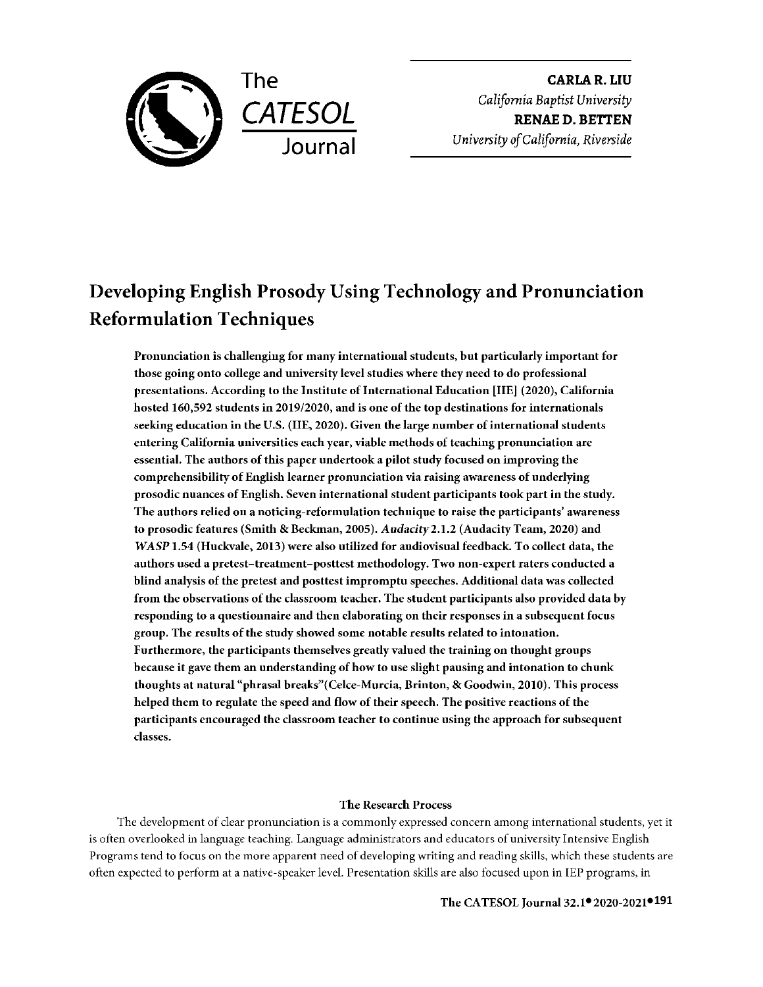

**CARLAR.LIU**  *California Baptist University*  **RENAE** D. **BETTEN**  *University of California, Riverside* 

# Developing English Prosody Using Technology and Pronunciation Reformulation Techniques

Pronunciation is challenging for many international students, but particularly important for those going onto college and university level studies where they need to do professional presentations. According to the Institute of International Education [IIE] (2020), California hosted 160,592 students in 2019/2020, and is one of the **top** destinations for internationals seeking education in the U.S. (IIE, 2020). Given the large number of international students entering California universities each year, viable methods of teaching pronunciation are essential. The authors of this paper undertook a pilot study focused on improving the comprehensibility of English learner pronunciation via raising awareness of underlying prosodic nuances of English. Seven international student participants took part in the study. The authors relied on a noticing-reformulation technique to raise the participants' awareness to prosodic features (Smith & Beckman, 2005). *Audacity2.* l.2 (Audacity Team, 2020) and WASP 1.54 (Huckvale, 2013) were also utilized for audiovisual feedback. To collect data, the authors used a pretest-treatment-posttest methodology. Two non-expert raters conducted a blind analysis of the pretest and posttest impromptu speeches. Additional data was collected from the observations of the classroom teacher. The student participants also provided data by responding to a questionnaire and then elaborating on their responses in a subsequent focus group. The results of the study showed some notable results related to intonation. Furthermore, the participants themselves greatly valued the training on thought groups because it gave them an understanding of how to use slight pausing and intonation to chunk thoughts at natural "phrasal breaks" (Celce-Murcia, Brinton, & Goodwin, 2010). This process helped them to regulate the speed and flow of their speech. The positive reactions of the participants encouraged the classroom teacher to continue using the approach for subsequent classes.

### The Research Process

The development of clear pronunciation is a commonly expressed concern among international students, yet it is often overlooked in language teaching. Language administrators and educators of university Intensive English Programs tend to focus on the more apparent need of developing writing and reading skills, which these students are often expected to perform at a native-speaker level. Presentation skills are also focused upon in IEP programs, in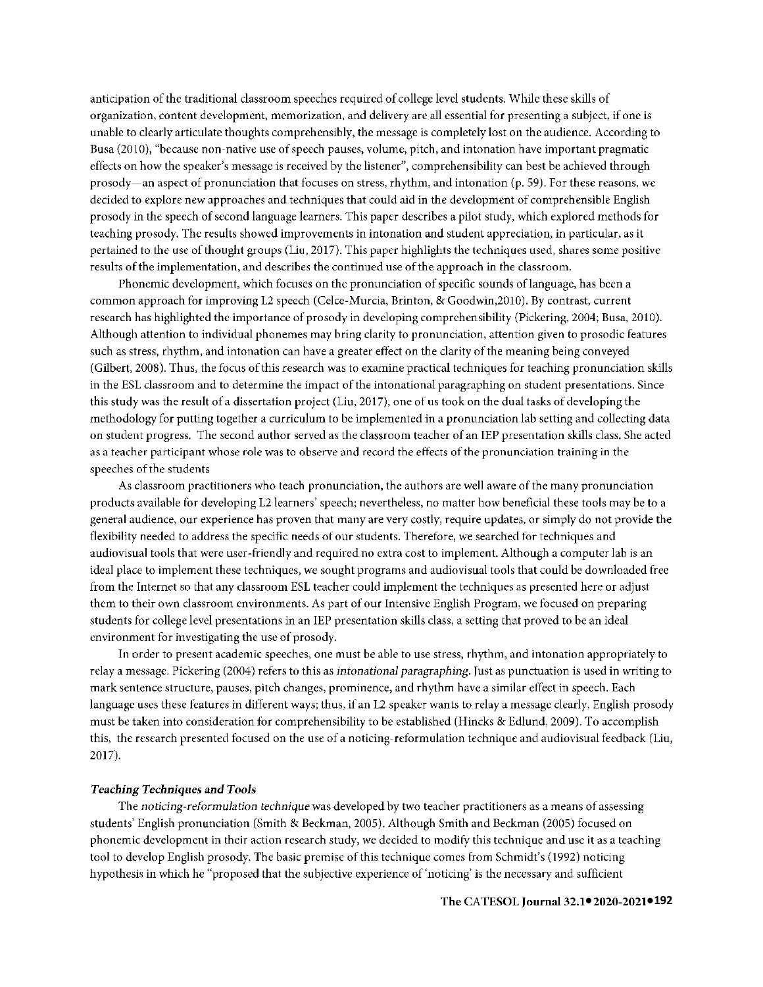anticipation of the traditional classroom speeches required of college level students. While these skills of organization, content development, memorization, and delivery are all essential for presenting a subject, if one is unable to clearly articulate thoughts comprehensibly, the message is completely lost on the audience. According to Busa (2010), "because non-native use of speech pauses, volume, pitch, and intonation have important pragmatic effects on how the speaker's message is received by the listener", comprehensibility can best be achieved through prosody-an aspect of pronunciation that focuses on stress, rhythm, and intonation (p. 59). For these reasons, we decided to explore new approaches and techniques that could aid in the development of comprehensible English prosody in the speech of second language learners. This paper describes a pilot study, which explored methods for teaching prosody. The results showed improvements in intonation and student appreciation, in particular, as it pertained to the use of thought groups (Liu, 2017). This paper highlights the techniques used, shares some positive results of the implementation, and describes the continued use of the approach in the classroom.

Phonemic development, which focuses on the pronunciation of specific sounds oflanguage, has been a common approach for improving L2 speech (Celce-Murcia, Brinton, & Goodwin,2010). By contrast, current research has highlighted the importance of prosody in developing comprehensibility (Pickering, 2004; Busa, 2010). Although attention to individual phonemes may bring clarity to pronunciation, attention given to prosodic features such as stress, rhythm, and intonation can have a greater effect on the clarity of the meaning being conveyed ( Gilbert, 2008 ). Thus, the focus of this research was to examine practical techniques for teaching pronunciation skills in the ESL classroom and to determine the impact of the intonational paragraphing on student presentations. Since this study was the result of a dissertation project (Liu, 2017), one of us took on the dual tasks of developing the methodology for putting together a curriculum to be implemented in a pronunciation lab setting and collecting data on student progress. The second author served as the classroom teacher of an IEP presentation skills class. She acted as a teacher participant whose role was to observe and record the effects of the pronunciation training in the speeches of the students

As classroom practitioners who teach pronunciation, the authors are well aware of the many pronunciation products available for developing L2 learners' speech; nevertheless, no matter how beneficial these tools may be to a general audience, our experience has proven that many are very costly, require updates, or simply do not provide the flexibility needed to address the specific needs of our students. Therefore, we searched for techniques and audiovisual tools that were user-friendly and required no extra cost to implement. Although a computer lab is an ideal place to implement these techniques, we sought programs and audiovisual tools that could be downloaded free from the Internet so that any classroom ESL teacher could implement the techniques as presented here or adjust them to their own classroom environments. As part of our Intensive English Program, we focused on preparing students for college level presentations in an IEP presentation skills class, a setting that proved to be an ideal environment for investigating the use of prosody.

In order to present academic speeches, one must be able to use stress, rhythm, and intonation appropriately to relay a message. Pickering (2004) refers to this as *intonational paragraphing*. Just as punctuation is used in writing to mark sentence structure, pauses, pitch changes, prominence, and rhythm have a similar effect in speech. Each language uses these features in different ways; thus, if an L2 speaker wants to relay a message clearly, English prosody must be taken into consideration for comprehensibility to be established (Hincks & Edlund, 2009). To accomplish this, the research presented focused on the use of a noticing-reformulation technique and audiovisual feedback (Liu, 2017).

#### *Teaching Techniques and Tools*

The *noticing-reformulation technique* was developed by two teacher practitioners as a means of assessing students' English pronunciation (Smith & Beckman, 2005). Although Smith and Beckman (2005) focused on phonemic development in their action research study, we decided to modify this technique and use it as a teaching tool to develop English prosody. The basic premise of this technique comes from Schmidt's (1992) noticing hypothesis in which he "proposed that the subjective experience of'noticing' is the necessary and sufficient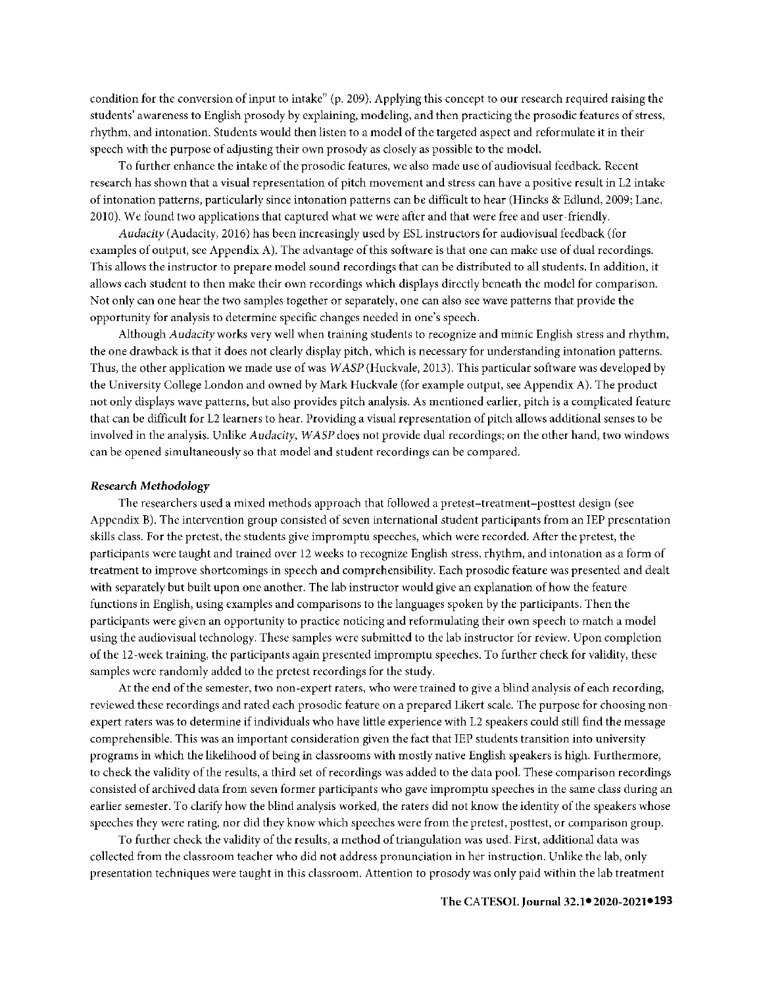condition for the conversion of input to intake" (p. 209). Applying this concept to our research required raising the students' awareness to English prosody by explaining, modeling, and then practicing the prosodic features of stress, rhythm, and intonation. Students would then listen to a model of the targeted aspect and reformulate it in their speech with the purpose of adjusting their own prosody as closely as possible to the model.

To further enhance the intake of the prosodic features, we also made use of audiovisual feedback. Recent research has shown that a visual representation of pitch movement and stress can have a positive result in 12 intake of intonation patterns, particularly since intonation patterns can be difficult to hear (Hincks & Edlund, 2009; Lane, 2010). We found two applications that captured what we were after and that were free and user-friendly.

*Audacity* (Audacity, 2016) has been increasingly used by ESL instructors for audiovisual feedback (for examples of output, see Appendix A). The advantage of this software is that one can make use of dual recordings. This allows the instructor to prepare model sound recordings that can be distributed to **all** students. In addition, it allows each student to then make their own recordings which displays directly beneath the model for comparison. Not only can one hear the two samples together or separately, one can also see wave patterns that provide the opportunity for analysis to determine specific changes needed in one's speech.

Although *Audacity* works very well when training students to recognize and mimic English stress and rhythm, the one drawback is that it does not clearly display pitch, which is necessary for understanding intonation patterns. Thus, the other application we made use of was *WASP* (Huckvale, 2013). This particular software was developed by the University College London and owned by Mark Huckvale (for example output, see Appendix A). The product not only displays wave patterns, but also provides pitch analysis. As mentioned earlier, pitch is a complicated feature that can be difficult for 12 learners to hear. Providing a visual representation of pitch allows additional senses to be involved in the analysis, Unlike *Audacity, WASP* does not provide dual recordings; on the other hand, two windows can be opened simultaneously so that model and student recordings can be compared.

#### *Research Methodology*

The researchers used a mixed methods approach that followed a pretest-treatment-posttest design (see Appendix B). The intervention group consisted of seven international student participants from an IEP presentation skills class. For the pretest, the students give impromptu speeches, which were recorded. After the pretest, the participants were taught and trained over 12 weeks to recognize English stress, rhythm, and intonation as a form of treatment to improve shortcomings in speech and comprehensibility. Each prosodic feature was presented and dealt with separately but built upon one another. The lab instructor would give an explanation of how the feature functions in English, using examples and comparisons to the languages spoken by the participants. Then the participants were given an opportunity to practice noticing and reformulating their own speech to match a model using the audiovisual technology. These samples were submitted to the lab instructor for review. Upon completion of the 12-week training, the participants again presented impromptu speeches. To further check for validity, these samples were randomly added to the pretest recordings for the study.

At the end of the semester, two non-expert raters, who were trained to give a blind analysis of each recording, reviewed these recordings and rated each prosodic feature on a prepared Likert scale. The purpose for choosing nonexpert raters was to determine if individuals who have little experience with 12 speakers could still find the message comprehensible. This was an important consideration given the fact that IEP students transition into university programs in which the likelihood of being in classrooms with mostly native English speakers is high. Furthermore, to check the validity of the results, a third set of recordings was added to the data pool. These comparison recordings consisted of archived data from seven former participants who gave impromptu speeches in the same class during an earlier semester. To clarify how the blind analysis worked, the raters did not know the identity of the speakers whose speeches they were rating, nor did they know which speeches were from the pretest, posttest, or comparison group.

To further check the validity of the results, a method of triangulation was used. First, additional data was collected from the classroom teacher who did not address pronunciation in her instruction. Unlike the lab, only presentation techniques were taught in this classroom. Attention to prosody was only paid within the lab treatment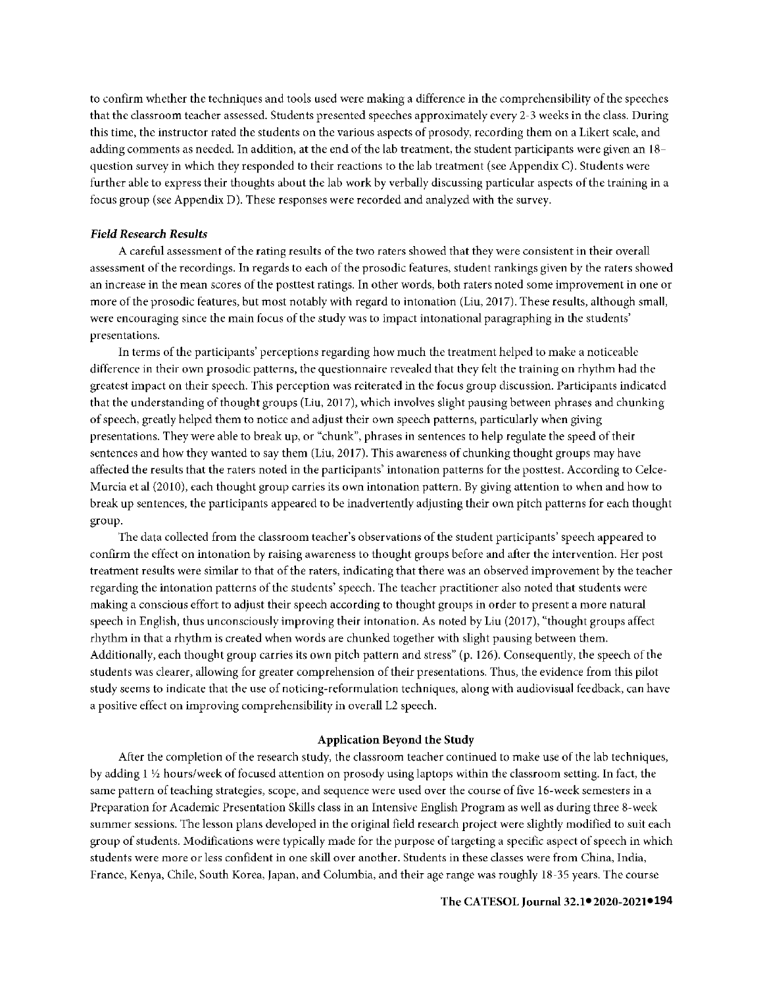to confirm whether the techniques and tools used were making a difference in the comprehensibility of the speeches that the classroom teacher assessed. Students presented speeches approximately every 2-3 weeks in the class. During this time, the instructor rated the students on the various aspects of prosody, recording them on a Likert scale, and adding comments as needed. In addition, at the end of the lab treatment, the student participants were given an 18 qucstion survey in which they responded to their reactions to the lab treatment (sec Appendix C). Students were further able to express their thoughts about the lab work by verbally discussing particular aspects of the training in a focus group (sec Appendix D). These responses were recorded and analyzed with the survey.

#### *Field Research Results*

A careful assessment of the rating results of the two raters showed that they were consistent in their overall assessment of the recordings. In regards to each of the prosodic features, student rankings given by the raters showed an increase in the mean scores of the posttest ratings. In other words, both raters noted some improvement in one or more of the prosodic features, but most notably with regard to intonation (Liu, 2017). These results, although small, were encouraging since the main focus of the study was to impact intonational paragraphing in the students' presentations.

In terms of the participants' perceptions regarding how much the treatment helped to make a noticeable difference in their own prosodic patterns, the questionnaire revealed that they felt the training on rhythm had the greatest impact on their speech. This perception was reiterated in the focus group discussion. Participants indicated that the understanding of thought groups (Liu, 2017), which involves slight pausing between phrases and chunking of speech, greatly helped them to notice and adjust their own speech patterns, particularly when giving presentations. They were able to break up, or "chunk", phrases in sentences to help regulate the speed of their sentences and how they wanted to say them (Liu, 2017). This awareness of chunking thought groups may have affected the results that the raters noted in the participants' intonation patterns for the posttest. According to Celce-Murcia et al (2010), each thought group carries its own intonation pattern. By giving attention to when and how to break up sentences, the participants appeared to be inadvertently adjusting their own pitch patterns for each thought group.

The data collected from the classroom teacher's observations of the student participants' speech appeared to confirm the effect on intonation by raising awareness to thought groups before and after the intervention. Her post treatment results were similar to that of the raters, indicating that there was an observed improvement by the teacher regarding the intonation patterns of the students' speech. The teacher practitioner also noted that students were making a conscious effort to adjust their speech according to thought groups in order to present a more natural speech in English, thus unconsciously improving their intonation. As noted by Liu (2017), "thought groups affect rhythm in that a rhythm is created when words are chunked together with slight pausing between them. Additionally, each thought group carries its own pitch pattern and stress" (p. 126). Consequently, the speech of the students was clearer, allowing for greater comprehension of their presentations. Thus, the evidence from this pilot study seems to indicate that the use of noticing-reformulation techniques, along with audiovisual feedback, can have a positive effect on improving comprehensibility in overall L2 speech.

#### **Application Beyond the Study**

After the completion of the research study, the classroom teacher continued to make use of the lab techniques, by adding l ½ hours/week of focused attention on prosody using laptops within the classroom setting. In fact, the same pattern of teaching strategies, scope, and sequence were used over the course of five 16-week semesters in a Preparation for Academic Presentation Skills class in an Intensive English Program as well as during three 8-week summer sessions. The lesson plans developed **in** the original field research project were slightly modified to suit each group of students. Modifications were typically made for the purpose of targeting a specific aspect of speech in which students were more or less confident in one skill over another. Students in these classes were from China, India, France, Kenya, Chile, South Korea, Japan, and Columbia, and their age range was roughly 18-35 years. The course

#### **● ●194 The CATESOL Journal 32.1 2020-2021**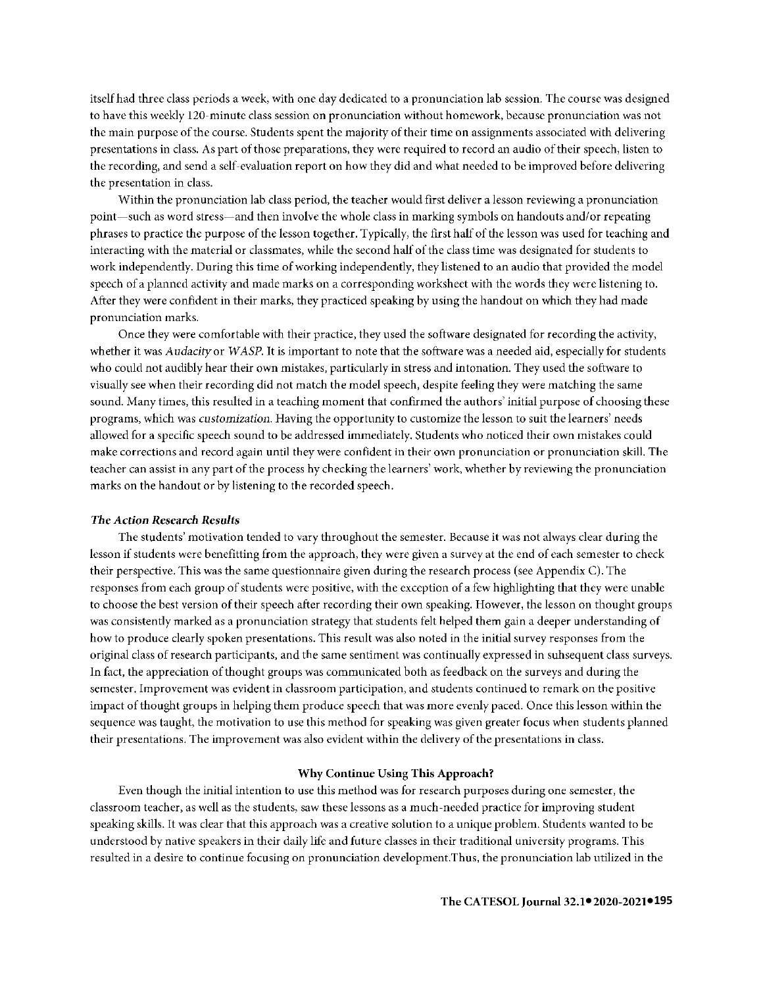itself had three class periods a week, with one day dedicated to a pronunciation lab session. The course was designed to have this weekly 120-minute class session on pronunciation without homework, because pronunciation was not the main purpose of the course. Students spent the majority of their time on assignments associated with delivering presentations in class. As part of those preparations, they were required to record an audio of their speech, listen to the recording, and send a self-evaluation report on how they did and what needed to be improved before delivering the presentation in class.

Within the pronunciation lab class period, the teacher would first deliver a lesson reviewing a pronunciation point-such as word stress-and then involve the whole class in marking symbols on handouts and/or repeating phrases to practice the purpose of the lesson together. Typically, the first half of the lesson was used for teaching and interacting with the material or classmates, while the second half of the class time was designated for students to work independently. During this time of working independently, they listened to an audio that provided the model speech of a planned activity and made marks on a corresponding worksheet with the words they were listening to. After they were confident in their marks, they practiced speaking by using the handout on which they had made pronunciation marks.

Once they were comfortable with their practice, they used the software designated for recording the activity, whether it was *Audacity* or *WASP.* It is important to note that the software was a needed aid, especially for students who could not audibly hear their own mistakes, particularly in stress and intonation. They used the software to visually see when their recording did not match the model speech, despite feeling they were matching the same sound. Many times, this resulted in a teaching moment that confirmed the authors' initial purpose of choosing these programs, which was *customization.* Having the opportunity to customize the lesson to suit the learners' needs allowed for a specific speech sound to be addressed immediately. Students who noticed their own mistakes could make corrections and record again until they were confident in their own pronunciation or pronunciation skill. The teacher can assist in any part of the process by checking the learners' work, whether by reviewing the pronunciation marks on the handout or by listening to the recorded speech.

#### *The Action Research Results*

The students' motivation tended to vary throughout the semester. Because it was not always clear during the lesson if students were benefitting from the approach, they were given a survey at the end of each semester to check their perspective. This was the same questionnaire given during the research process (see Appendix C). The responses from each group of students were positive, with the exception of a few highlighting that they were unable to choose the best version of their speech after recording their own speaking. However, the lesson on thought groups was consistently marked as a pronunciation strategy that students felt helped them gain a deeper understanding of how to produce clearly spoken presentations. This result was also noted in the initial survey responses from the original class of research participants, and the same sentiment was continually expressed in subsequent class surveys. ln fact, the appreciation of thought groups was communicated both as feedback on the surveys and during the semester. Improvement was evident in classroom participation, and students continued to remark on the positive impact of thought groups in helping them produce speech that was more evenly paced. Once this lesson within the sequence was taught, the motivation to use this method for speaking was given greater focus when students planned their presentations. The improvement was also evident within the delivery of the presentations **in** class.

#### **Why Continue Using This Approach?**

Even though the initial intention to use this method was for research purposes during one semester, the classroom teacher, as well as the students, saw these lessons as a much-needed practice for improving student speaking skills. It was clear that this approach was a creative solution to a unique problem. Students wanted to be understood by native speakers in their daily life and future classes in their traditional university programs. This resulted in a desire to continue focusing on pronunciation development.Thus, the pronunciation lab utilized in the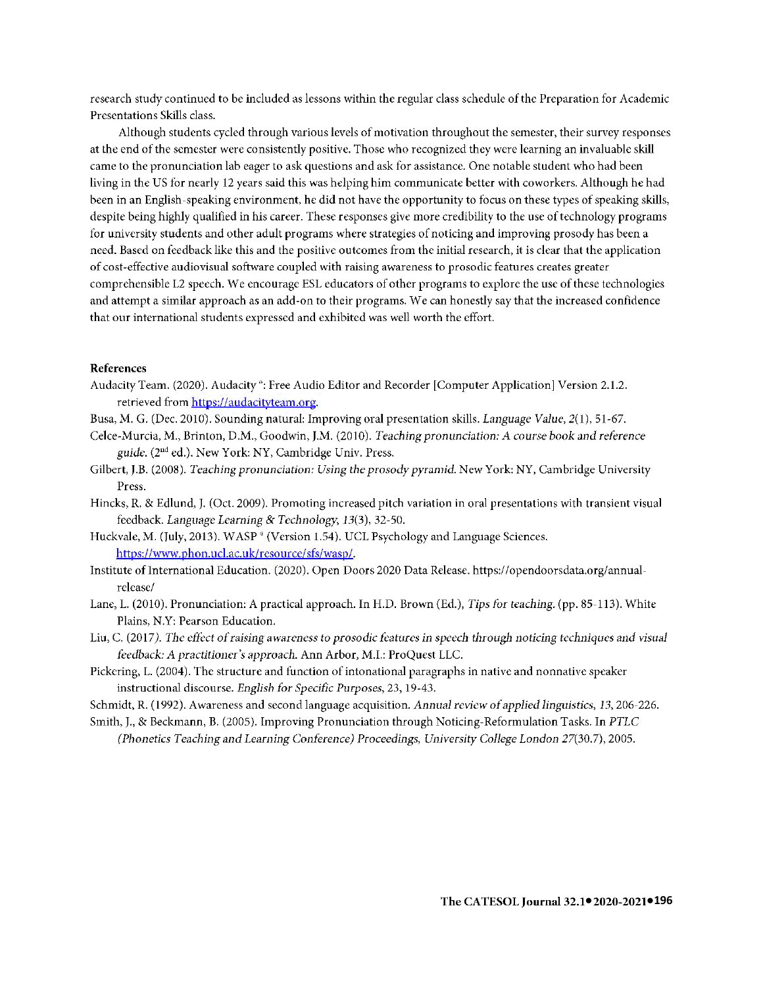research study continued to be included as lessons within the regular class schedule of the Preparation for Academic Presentations Skills class.

Although students cycled through various levels of motivation throughout the semester, their survey responses at the end of the semester were consistently positive. Those who recognized they were learning an invaluable skill came to the pronunciation lab eager to ask questions and ask for assistance. One notable student who had been living in the US for nearly 12 years said this was helping him communicate better with coworkers. Although he had been in an English-speaking environment, he did not have the opportunity to focus on these types of speaking skills, despite being highly qualified in his career. These responses give more credibility to the use of technology programs for university students and other adult programs where strategies of noticing and improving prosody has been a need. Based on feedback like this and the positive outcomes from the initial research, it is clear that the application of cost-effective audiovisual software coupled with raising awareness to prosodic features creates greater comprehensible L2 speech. We encourage ESL educators of other programs to explore the use of these technologies and attempt a similar approach as an add-on to their programs. We can honestly say that the increased confidence that our international students expressed and exhibited was well worth the effort.

#### **References**

- Audacity Team. (2020). Audacity •: Free Audio Editor and Recorder [Computer Application] Version 2.1.2. retrieved from https://audacityteam.org.
- Busa, M. G. (Dec. 2010). Sounding natural: Improving oral presentation skills. *Language Value,* 2(1), 51-67.
- Celce-Murcia, M., Brinton, D.M., Goodwin, J.M. (2010). *Teaching pronunciation: A course book and reference guide.* (2nd ed.). New York: NY, Cambridge Univ. Press.
- Gilbert, J.B. (2008). *Teaching pronunciation: Using the prosody pyramid.* New York: NY, Cambridge University Press.
- Hincks, R. & Edlund, J. (Oct. 2009). Promoting increased pitch variation in oral presentations with transient visual feedback. *Language Learning & Technology*, 13(3), 32-50.
- Huckvale, M. (July, 2013). WASP<sup>®</sup> (Version 1.54). UCL Psychology and Language Sciences. https://www.phon.ucl.ac.uk/resource/sfs/wasp/.
- Institute ofinternational Education. (2020). Open Doors 2020 Data Release. https://opendoorsdata.org/annualrclease/
- Lane, L. (2010). Pronunciation: A practical approach. In H.D. Brown (Ed.), *Tips for teaching.* (pp. 85-113). White Plains, N.Y: Pearson Education.
- Liu, C. (2017). The effect of raising awareness to prosodic features in speech through noticing techniques and visual *feedback: A practiti011er's approach.* Ann Arbor, M.I.: ProQuest LLC.
- Pickering, L. (2004). The structure and function of intonational paragraphs in native and nonnative speaker instructional discourse. *English for Specific Purposes,* 23, 19-43.
- Schmidt, R. ( 1992). Awareness and second language acquisition. *Annual review of applied linguistics, 13,* 206-226.
- Smith, J., & Beckmann, B. (2005). Improving Pronunciation through Noticing-Reformulation Tasks. In *PTLC* 
	- *(Phonetics Teaching and Learning Conference) Proceedings, University College London 27(30.7), 2005.*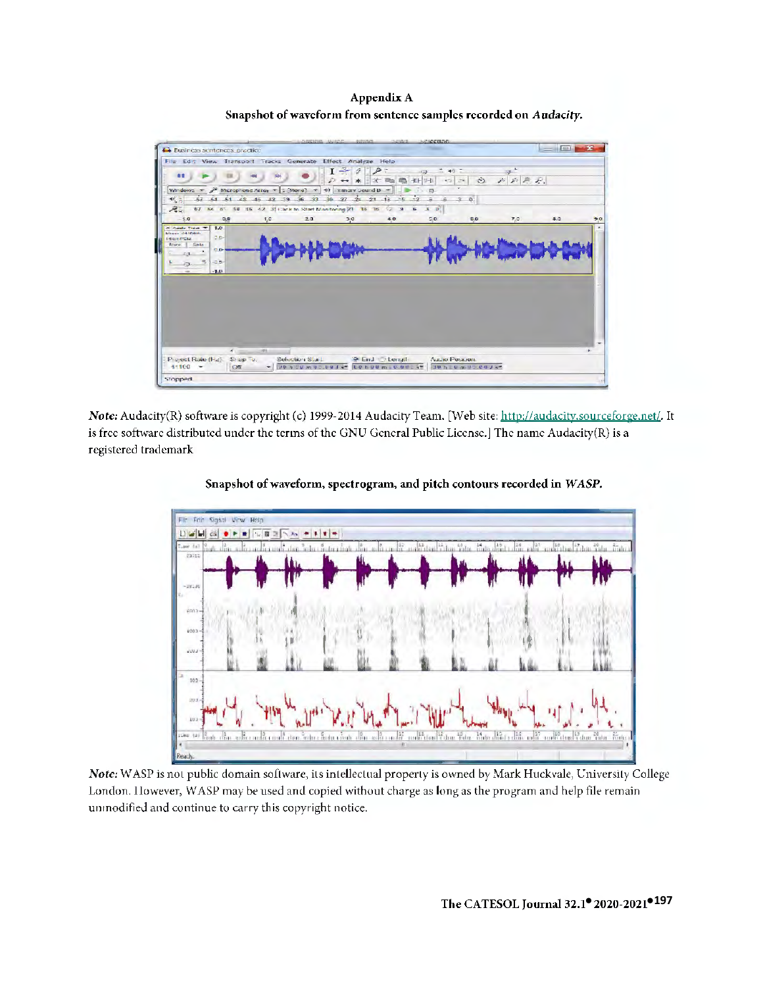Appendix A Snapshot of waveform from sentence samples recorded on Audacity.



Note: Audacity(R) software is copyright (c) 1999-2014 Audacity Team. [Web site: http://audacity.sourceforge.net/. It is free software distributed under the terms of the GNU General Public License.] The name Audacity(R) is a registered trademark





Note: WASP is not public domain software, its intellectual property is owned by Mark Huckvale, University College London. However, WASP may be used and copied without charge as long as the program and help file remain unmodified and continue to carry this copyright notice.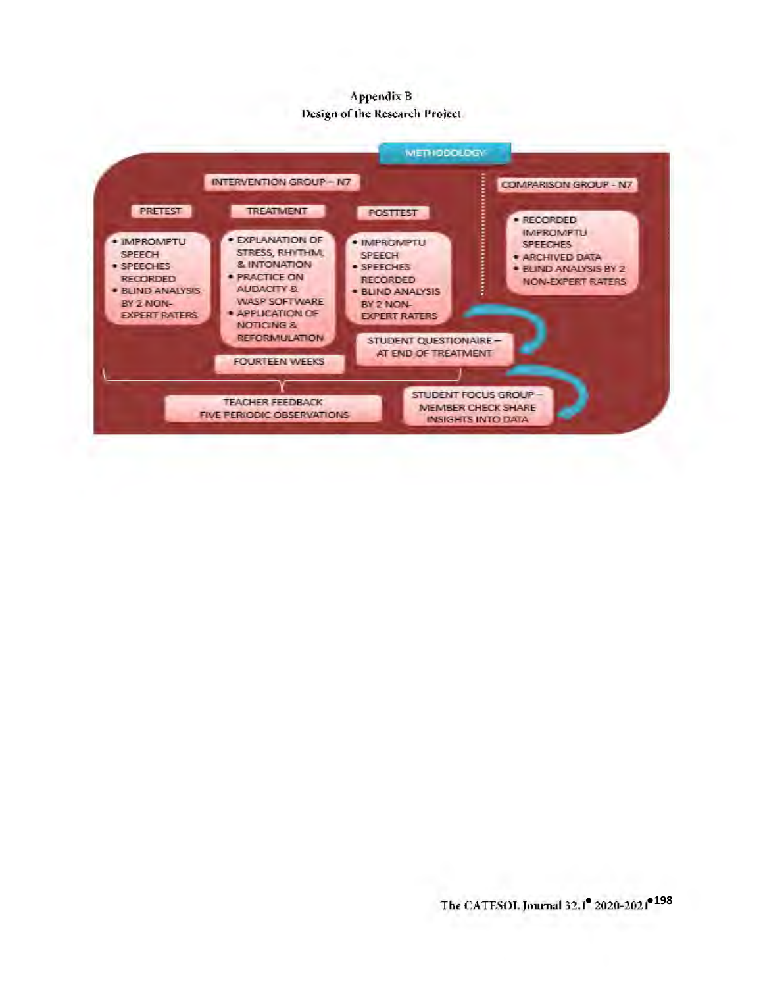## Appendix B Design of the Research Project.

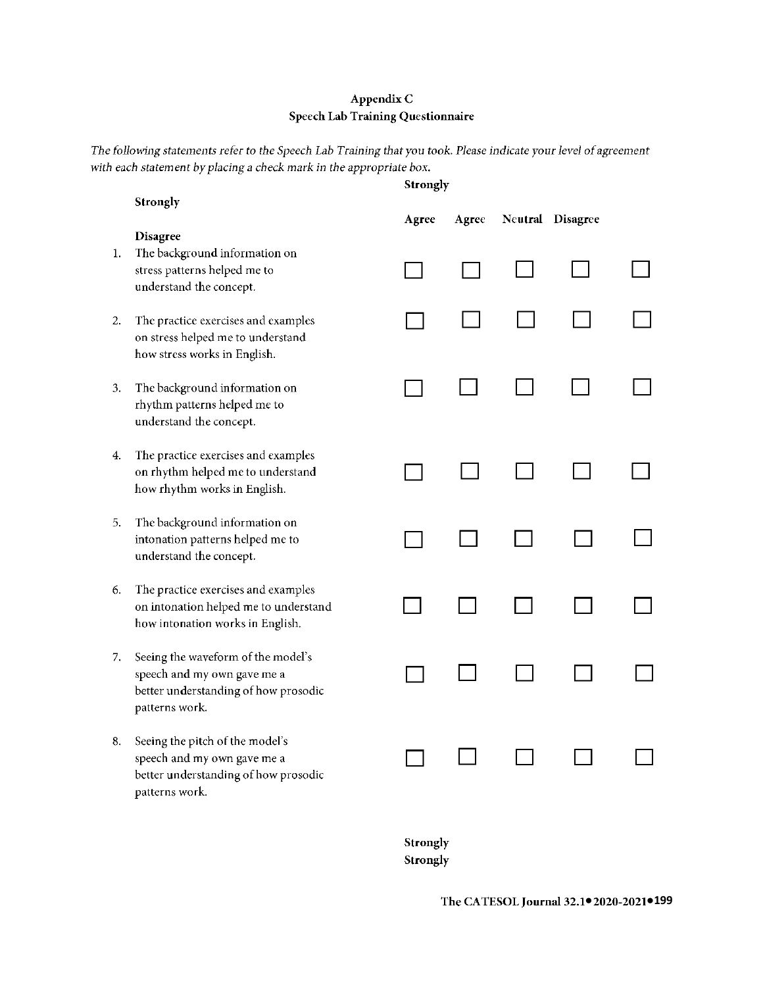## **AppendixC Speech Lab Training Questionnaire**

*The following statements refer to the Speech Lab Training that you took. Please indicate your level of agreement with each statement by placing a check mark* in *the appropriate box.* 

|    |                                                                                                                             | <b>Strongly</b> |       |  |                  |  |  |
|----|-----------------------------------------------------------------------------------------------------------------------------|-----------------|-------|--|------------------|--|--|
|    | Strongly<br><b>Disagree</b>                                                                                                 | Agree           | Agree |  | Neutral Disagree |  |  |
| 1. | The background information on<br>stress patterns helped me to<br>understand the concept.                                    |                 |       |  |                  |  |  |
| 2. | The practice exercises and examples<br>on stress helped me to understand<br>how stress works in English.                    |                 |       |  |                  |  |  |
| 3. | The background information on<br>rhythm patterns helped me to<br>understand the concept.                                    |                 |       |  |                  |  |  |
| 4. | The practice exercises and examples<br>on rhythm helped me to understand<br>how rhythm works in English.                    |                 |       |  |                  |  |  |
| 5. | The background information on<br>intonation patterns helped me to<br>understand the concept.                                |                 |       |  |                  |  |  |
| 6. | The practice exercises and examples<br>on intonation helped me to understand<br>how intonation works in English.            |                 |       |  |                  |  |  |
| 7. | Seeing the waveform of the model's<br>speech and my own gave me a<br>better understanding of how prosodic<br>patterns work. |                 |       |  |                  |  |  |
| 8. | Seeing the pitch of the model's<br>speech and my own gave me a<br>better understanding of how prosodic<br>patterns work.    |                 |       |  |                  |  |  |
|    |                                                                                                                             |                 |       |  |                  |  |  |

**Strongly Strongly** 

**● ●199 The CATESOL Journal 32.1 2020-2021**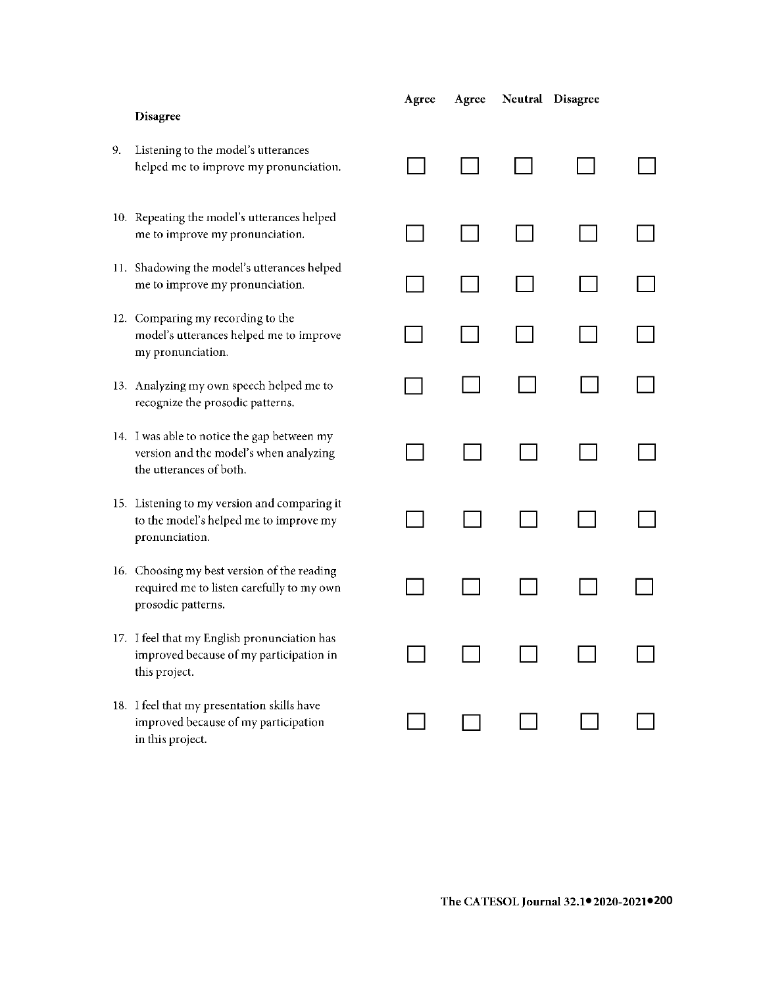|    | Disagree                                                                                                         | Agree | Agree | Neutral Disagree |  |
|----|------------------------------------------------------------------------------------------------------------------|-------|-------|------------------|--|
| 9. | Listening to the model's utterances<br>helped me to improve my pronunciation.                                    |       |       |                  |  |
|    | 10. Repeating the model's utterances helped<br>me to improve my pronunciation.                                   |       |       |                  |  |
|    | 11. Shadowing the model's utterances helped<br>me to improve my pronunciation.                                   |       |       |                  |  |
|    | 12. Comparing my recording to the<br>model's utterances helped me to improve<br>my pronunciation.                |       |       |                  |  |
|    | 13. Analyzing my own speech helped me to<br>recognize the prosodic patterns.                                     |       |       |                  |  |
|    | 14. I was able to notice the gap between my<br>version and the model's when analyzing<br>the utterances of both. |       |       |                  |  |
|    | 15. Listening to my version and comparing it<br>to the model's helped me to improve my<br>pronunciation.         |       |       |                  |  |
|    | 16. Choosing my best version of the reading<br>required me to listen carefully to my own<br>prosodic patterns.   |       |       |                  |  |
|    | 17. I feel that my English pronunciation has<br>improved because of my participation in<br>this project.         |       |       |                  |  |
|    | 18. I feel that my presentation skills have<br>improved because of my participation<br>in this project.          |       |       |                  |  |
|    |                                                                                                                  |       |       |                  |  |